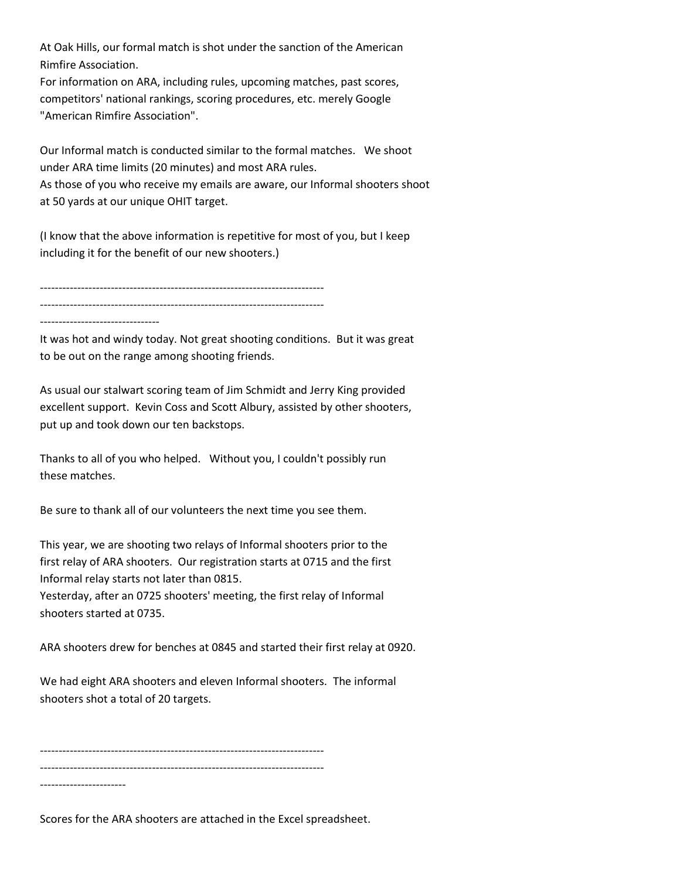At Oak Hills, our formal match is shot under the sanction of the American Rimfire Association.

For information on ARA, including rules, upcoming matches, past scores, competitors' national rankings, scoring procedures, etc. merely Google "American Rimfire Association".

Our Informal match is conducted similar to the formal matches. We shoot under ARA time limits (20 minutes) and most ARA rules. As those of you who receive my emails are aware, our Informal shooters shoot at 50 yards at our unique OHIT target.

(I know that the above information is repetitive for most of you, but I keep including it for the benefit of our new shooters.)

---------------------------------------------------------------------------- ---------------------------------------------------------------------------- --------------------------------

It was hot and windy today. Not great shooting conditions. But it was great to be out on the range among shooting friends.

As usual our stalwart scoring team of Jim Schmidt and Jerry King provided excellent support. Kevin Coss and Scott Albury, assisted by other shooters, put up and took down our ten backstops.

Thanks to all of you who helped. Without you, I couldn't possibly run these matches.

Be sure to thank all of our volunteers the next time you see them.

This year, we are shooting two relays of Informal shooters prior to the first relay of ARA shooters. Our registration starts at 0715 and the first Informal relay starts not later than 0815. Yesterday, after an 0725 shooters' meeting, the first relay of Informal shooters started at 0735.

ARA shooters drew for benches at 0845 and started their first relay at 0920.

We had eight ARA shooters and eleven Informal shooters. The informal shooters shot a total of 20 targets.

----------------------------------------------------------------------------

----------------------------------------------------------------------------

-----------------------

Scores for the ARA shooters are attached in the Excel spreadsheet.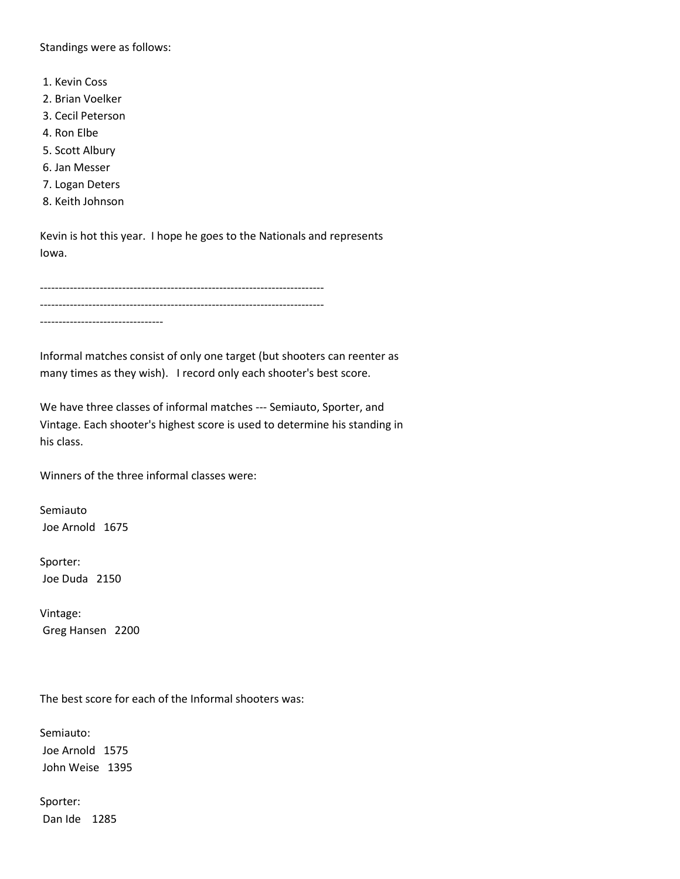Standings were as follows:

- 1. Kevin Coss
- 2. Brian Voelker
- 3. Cecil Peterson
- 4. Ron Elbe
- 5. Scott Albury
- 6. Jan Messer
- 7. Logan Deters
- 8. Keith Johnson

Kevin is hot this year. I hope he goes to the Nationals and represents Iowa.

---------------------------------------------------------------------------- ---------------------------------------------------------------------------- ---------------------------------

Informal matches consist of only one target (but shooters can reenter as many times as they wish). I record only each shooter's best score.

We have three classes of informal matches --- Semiauto, Sporter, and Vintage. Each shooter's highest score is used to determine his standing in his class.

Winners of the three informal classes were:

Semiauto Joe Arnold 1675

Sporter: Joe Duda 2150

Vintage: Greg Hansen 2200

The best score for each of the Informal shooters was:

Semiauto: Joe Arnold 1575 John Weise 1395

Sporter: Dan Ide 1285